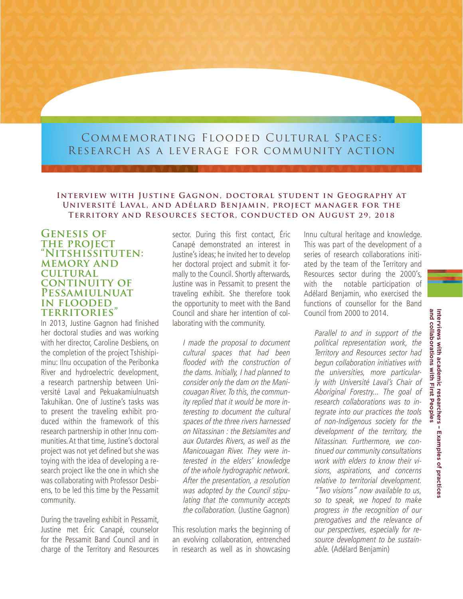# Commemorating Flooded Cultural Spaces: Research as a leverage for community action

#### **Interview with Justine Gagnon, doctoral student in Geography at Université Laval, and Adélard Benjamin, project manager for the Territory and Resources sector, conducted on August 29, 2018**

### **Genesis of THE PROJECT "Nitshissituten: memory and cultural continuity of Pessamiulnuat in flooded territories"**

In 2013, Justine Gagnon had finished her doctoral studies and was working with her director, Caroline Desbiens, on the completion of the project Tshishipiminu: Ilnu occupation of the Peribonka River and hydroelectric development, a research partnership between Université Laval and Pekuakamiulnuatsh Takuhikan. One of Justine's tasks was to present the traveling exhibit produced within the framework of this research partnership in other Innu communities. At that time, Justine's doctoral project was not yet defined but she was toying with the idea of developing a research project like the one in which she was collaborating with Professor Desbiens, to be led this time by the Pessamit community.

During the traveling exhibit in Pessamit, Justine met Éric Canapé, counselor for the Pessamit Band Council and in charge of the Territory and Resources

sector. During this first contact, Éric Canapé demonstrated an interest in Justine's ideas; he invited her to develop her doctoral project and submit it formally to the Council. Shortly afterwards, Justine was in Pessamit to present the traveling exhibit. She therefore took the opportunity to meet with the Band Council and share her intention of collaborating with the community.

I made the proposal to document cultural spaces that had been flooded with the construction of the dams. Initially, I had planned to consider only the dam on the Manicouagan River. To this, the community replied that it would be more interesting to document the cultural spaces of the three rivers harnessed on Nitassinan : the Betsiamites and aux Outardes Rivers, as well as the Manicouagan River. They were interested in the elders' knowledge of the whole hydrographic network. After the presentation, a resolution was adopted by the Council stipulating that the community accepts the collaboration. (Justine Gagnon)

This resolution marks the beginning of an evolving collaboration, entrenched in research as well as in showcasing Innu cultural heritage and knowledge. This was part of the development of a series of research collaborations initiated by the team of the Territory and Resources sector during the 2000's, with the notable participation of Adélard Benjamin, who exercised the functions of counsellor for the Band Council from 2000 to 2014.

Parallel to and in support of the political representation work, the Territory and Resources sector had begun collaboration initiatives with the universities, more particularly with Université Laval's Chair of Aboriginal Forestry... The goal of research collaborations was to integrate into our practices the tools of non-Indigenous society for the development of the territory, the Nitassinan. Furthermore, we continued our community consultations work with elders to know their visions, aspirations, and concerns relative to territorial development. "Two visions" now available to us, so to speak, we hoped to make

progress in the recognition of our prerogatives and the relevance of our perspectives, especially for resource development to be sustainable. (Adélard Benjamin)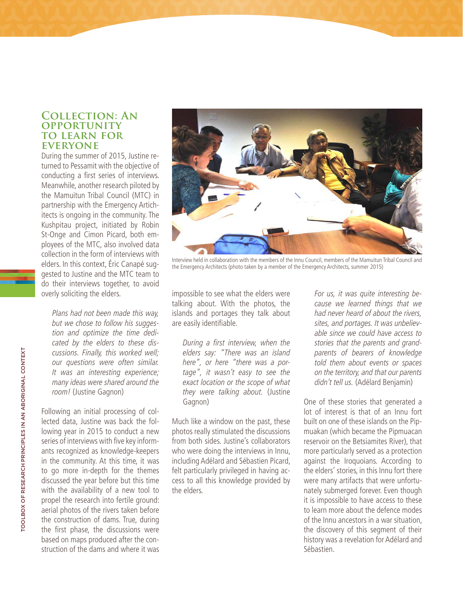## **Collection: An opportunity to learn for everyone**

During the summer of 2015, Justine returned to Pessamit with the objective of conducting a first series of interviews. Meanwhile, another research piloted by the Mamuitun Tribal Council (MTC) in partnership with the Emergency Artichitects is ongoing in the community. The Kushpitau project, initiated by Robin St-Onge and Cimon Picard, both employees of the MTC, also involved data collection in the form of interviews with elders. In this context, Éric Canapé suggested to Justine and the MTC team to do their interviews together, to avoid overly soliciting the elders.

Plans had not been made this way, but we chose to follow his suggestion and optimize the time dedicated by the elders to these discussions. Finally, this worked well; our questions were often similar. It was an interesting experience; many ideas were shared around the room! (Justine Gagnon)

Following an initial processing of collected data, Justine was back the following year in 2015 to conduct a new series of interviews with five key informants recognized as knowledge-keepers in the community. At this time, it was to go more in-depth for the themes discussed the year before but this time with the availability of a new tool to propel the research into fertile ground: aerial photos of the rivers taken before the construction of dams. True, during the first phase, the discussions were based on maps produced after the construction of the dams and where it was



Interview held in collaboration with the members of the Innu Council, members of the Mamuitun Tribal Council and the Emergency Architects (photo taken by a member of the Emergency Architects, summer 2015)

impossible to see what the elders were talking about. With the photos, the islands and portages they talk about are easily identifiable.

During a first interview, when the elders say: "There was an island here", or here "there was a portage", it wasn't easy to see the exact location or the scope of what they were talking about. (Justine Gagnon)

Much like a window on the past, these photos really stimulated the discussions from both sides. Justine's collaborators who were doing the interviews in Innu, including Adélard and Sébastien Picard, felt particularly privileged in having access to all this knowledge provided by the elders.

For us, it was quite interesting because we learned things that we had never heard of about the rivers, sites, and portages. It was unbelievable since we could have access to stories that the parents and grandparents of bearers of knowledge told them about events or spaces on the territory, and that our parents didn't tell us. (Adélard Benjamin)

One of these stories that generated a lot of interest is that of an Innu fort built on one of these islands on the Pipmuakan (which became the Pipmuacan reservoir on the Betsiamites River), that more particularly served as a protection against the Iroquoians. According to the elders' stories, in this Innu fort there were many artifacts that were unfortunately submerged forever. Even though it is impossible to have access to these to learn more about the defence modes of the Innu ancestors in a war situation, the discovery of this segment of their history was a revelation for Adélard and Sébastien.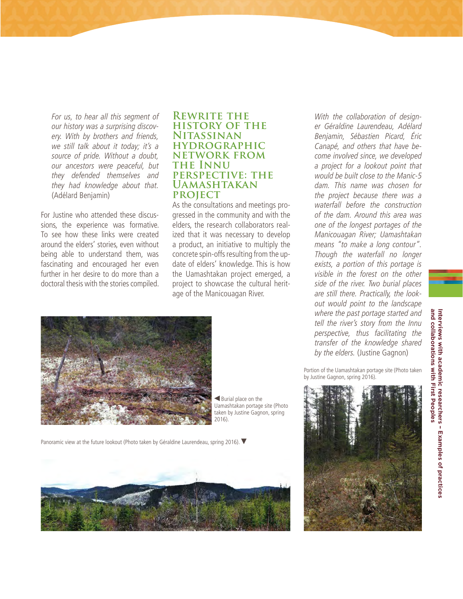For us, to hear all this segment of our history was a surprising discovery. With by brothers and friends, we still talk about it today; it's a source of pride. Without a doubt, our ancestors were peaceful, but they defended themselves and they had knowledge about that. (Adélard Benjamin)

For Justine who attended these discussions, the experience was formative. To see how these links were created around the elders' stories, even without being able to understand them, was fascinating and encouraged her even further in her desire to do more than a doctoral thesis with the stories compiled.

#### **REWRITE THE history of the Nitassinan hydrographic network from the Innu perspective: the Uamashtakan project**

As the consultations and meetings progressed in the community and with the elders, the research collaborators realized that it was necessary to develop a product, an initiative to multiply the concrete spin-offs resulting from the update of elders' knowledge. This is how the Uamashtakan project emerged, a project to showcase the cultural heritage of the Manicouagan River.

With the collaboration of designer Géraldine Laurendeau, Adélard Benjamin, Sébastien Picard, Éric Canapé, and others that have become involved since, we developed a project for a lookout point that would be built close to the Manic-5 dam. This name was chosen for the project because there was a waterfall before the construction of the dam. Around this area was one of the longest portages of the Manicouagan River; Uamashtakan means "to make a long contour". Though the waterfall no longer exists, a portion of this portage is visible in the forest on the other side of the river. Two burial places are still there. Practically, the lookout would point to the landscape where the past portage started and tell the river's story from the Innu perspective, thus facilitating the transfer of the knowledge shared by the elders. (Justine Gagnon)





 Burial place on the Uamashtakan portage site (Photo taken by Justine Gagnon, spring 2016).

Panoramic view at the future lookout (Photo taken by Géraldine Laurendeau, spring 2016).



Portion of the Uamashtakan portage site (Photo taken by Justine Gagnon, spring 2016).

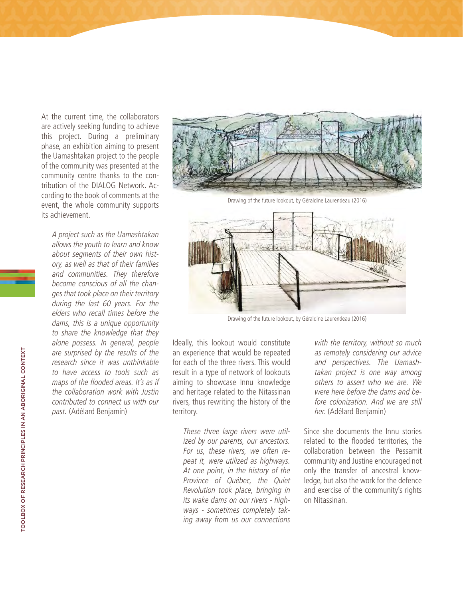At the current time, the collaborators are actively seeking funding to achieve this project. During a preliminary phase, an exhibition aiming to present the Uamashtakan project to the people of the community was presented at the community centre thanks to the contribution of the DIALOG Network. According to the book of comments at the event, the whole community supports its achievement.

A project such as the Uamashtakan allows the youth to learn and know about segments of their own history, as well as that of their families and communities. They therefore become conscious of all the changes that took place on their territory during the last 60 years. For the elders who recall times before the dams, this is a unique opportunity to share the knowledge that they alone possess. In general, people are surprised by the results of the research since it was unthinkable to have access to tools such as maps of the flooded areas. It's as if the collaboration work with Justin contributed to connect us with our past. (Adélard Benjamin)



Drawing of the future lookout, by Géraldine Laurendeau (2016)



Drawing of the future lookout, by Géraldine Laurendeau (2016)

Ideally, this lookout would constitute an experience that would be repeated for each of the three rivers. This would result in a type of network of lookouts aiming to showcase Innu knowledge and heritage related to the Nitassinan rivers, thus rewriting the history of the territory.

These three large rivers were utilized by our parents, our ancestors. For us, these rivers, we often repeat it, were utilized as highways. At one point, in the history of the Province of Québec, the Quiet Revolution took place, bringing in its wake dams on our rivers - highways - sometimes completely taking away from us our connections with the territory, without so much as remotely considering our advice and perspectives. The Uamashtakan project is one way among others to assert who we are. We were here before the dams and before colonization. And we are still her. (Adélard Benjamin)

Since she documents the Innu stories related to the flooded territories, the collaboration between the Pessamit community and Justine encouraged not only the transfer of ancestral knowledge, but also the work for the defence and exercise of the community's rights on Nitassinan.